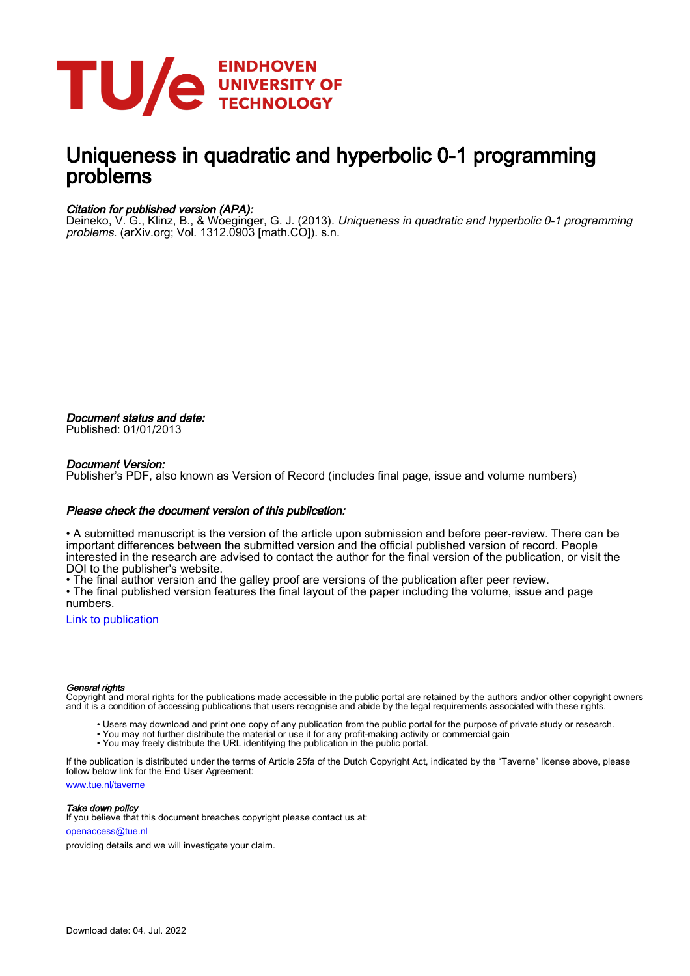

# Uniqueness in quadratic and hyperbolic 0-1 programming problems

### Citation for published version (APA):

Deineko, V. G., Klinz, B., & Woeginger, G. J. (2013). *Uniqueness in quadratic and hyperbolic 0-1 programming* problems. (arXiv.org; Vol. 1312.0903 [math.CO]). s.n.

Document status and date: Published: 01/01/2013

### Document Version:

Publisher's PDF, also known as Version of Record (includes final page, issue and volume numbers)

#### Please check the document version of this publication:

• A submitted manuscript is the version of the article upon submission and before peer-review. There can be important differences between the submitted version and the official published version of record. People interested in the research are advised to contact the author for the final version of the publication, or visit the DOI to the publisher's website.

• The final author version and the galley proof are versions of the publication after peer review.

• The final published version features the final layout of the paper including the volume, issue and page numbers.

[Link to publication](https://research.tue.nl/en/publications/e797b02d-1eb0-4530-8f09-dad8f6dd0afa)

#### General rights

Copyright and moral rights for the publications made accessible in the public portal are retained by the authors and/or other copyright owners and it is a condition of accessing publications that users recognise and abide by the legal requirements associated with these rights.

- Users may download and print one copy of any publication from the public portal for the purpose of private study or research.
- You may not further distribute the material or use it for any profit-making activity or commercial gain
- You may freely distribute the URL identifying the publication in the public portal.

If the publication is distributed under the terms of Article 25fa of the Dutch Copyright Act, indicated by the "Taverne" license above, please follow below link for the End User Agreement:

www.tue.nl/taverne

**Take down policy**<br>If you believe that this document breaches copyright please contact us at:

openaccess@tue.nl

providing details and we will investigate your claim.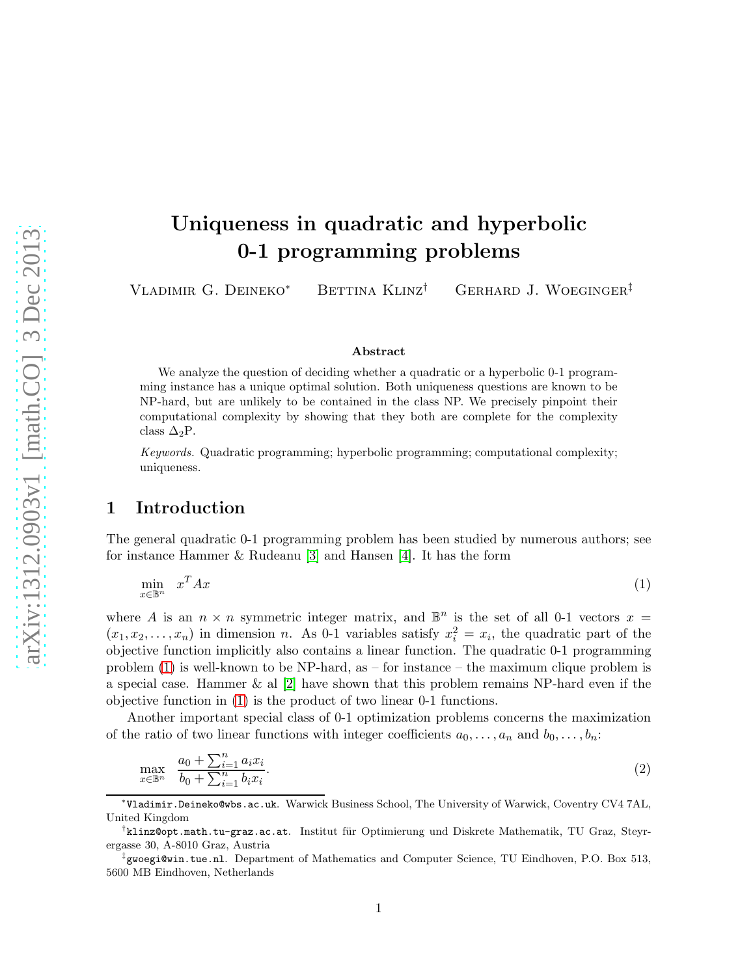# Uniqueness in quadratic and hyperbolic 0-1 programming problems

Vladimir G. Deineko<sup>∗</sup> Bettina Klinz† Gerhard J. Woeginger‡

#### <span id="page-1-1"></span><span id="page-1-0"></span>Abstract

We analyze the question of deciding whether a quadratic or a hyperbolic 0-1 programming instance has a unique optimal solution. Both uniqueness questions are known to be NP-hard, but are unlikely to be contained in the class NP. We precisely pinpoint their computational complexity by showing that they both are complete for the complexity class  $\Delta_2$ P.

Keywords. Quadratic programming; hyperbolic programming; computational complexity; uniqueness.

## 1 Introduction

The general quadratic 0-1 programming problem has been studied by numerous authors; see for instance Hammer & Rudeanu [\[3\]](#page-6-0) and Hansen [\[4\]](#page-6-1). It has the form

$$
\min_{x \in \mathbb{B}^n} \quad x^T A x \tag{1}
$$

where A is an  $n \times n$  symmetric integer matrix, and  $\mathbb{B}^n$  is the set of all 0-1 vectors  $x =$  $(x_1, x_2, \ldots, x_n)$  in dimension n. As 0-1 variables satisfy  $x_i^2 = x_i$ , the quadratic part of the objective function implicitly also contains a linear function. The quadratic 0-1 programming problem [\(1\)](#page-1-0) is well-known to be NP-hard, as – for instance – the maximum clique problem is a special case. Hammer  $\&$  al  $[2]$  have shown that this problem remains NP-hard even if the objective function in [\(1\)](#page-1-0) is the product of two linear 0-1 functions.

Another important special class of 0-1 optimization problems concerns the maximization of the ratio of two linear functions with integer coefficients  $a_0, \ldots, a_n$  and  $b_0, \ldots, b_n$ :

$$
\max_{x \in \mathbb{B}^n} \frac{a_0 + \sum_{i=1}^n a_i x_i}{b_0 + \sum_{i=1}^n b_i x_i}.
$$
\n(2)

∗ Vladimir.Deineko@wbs.ac.uk. Warwick Business School, The University of Warwick, Coventry CV4 7AL, United Kingdom

<sup>&</sup>lt;sup>†</sup>klinz@opt.math.tu-graz.ac.at. Institut für Optimierung und Diskrete Mathematik, TU Graz, Steyrergasse 30, A-8010 Graz, Austria

<sup>‡</sup> gwoegi@win.tue.nl. Department of Mathematics and Computer Science, TU Eindhoven, P.O. Box 513, 5600 MB Eindhoven, Netherlands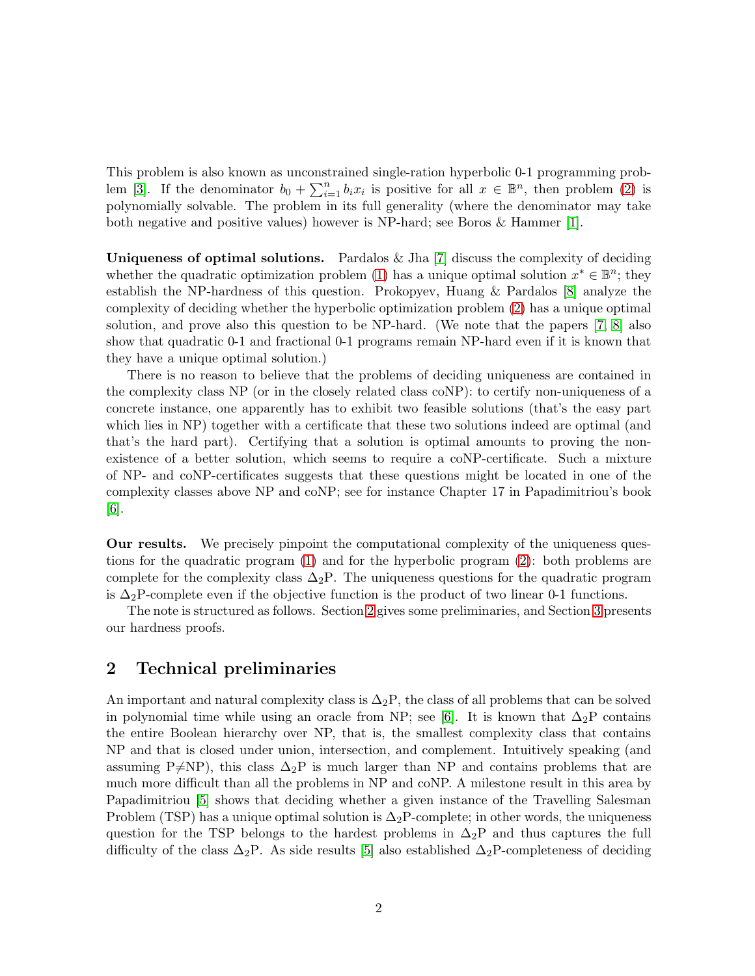This problem is also known as unconstrained single-ration hyperbolic 0-1 programming prob-lem [\[3\]](#page-6-0). If the denominator  $b_0 + \sum_{i=1}^n b_i x_i$  is positive for all  $x \in \mathbb{B}^n$ , then problem [\(2\)](#page-1-1) is polynomially solvable. The problem in its full generality (where the denominator may take both negative and positive values) however is NP-hard; see Boros & Hammer [\[1\]](#page-6-3).

Uniqueness of optimal solutions. Pardalos  $\&$  Jha [\[7\]](#page-6-4) discuss the complexity of deciding whether the quadratic optimization problem [\(1\)](#page-1-0) has a unique optimal solution  $x^* \in \mathbb{B}^n$ ; they establish the NP-hardness of this question. Prokopyev, Huang & Pardalos [\[8\]](#page-6-5) analyze the complexity of deciding whether the hyperbolic optimization problem [\(2\)](#page-1-1) has a unique optimal solution, and prove also this question to be NP-hard. (We note that the papers [\[7,](#page-6-4) [8\]](#page-6-5) also show that quadratic 0-1 and fractional 0-1 programs remain NP-hard even if it is known that they have a unique optimal solution.)

There is no reason to believe that the problems of deciding uniqueness are contained in the complexity class NP (or in the closely related class coNP): to certify non-uniqueness of a concrete instance, one apparently has to exhibit two feasible solutions (that's the easy part which lies in NP) together with a certificate that these two solutions indeed are optimal (and that's the hard part). Certifying that a solution is optimal amounts to proving the nonexistence of a better solution, which seems to require a coNP-certificate. Such a mixture of NP- and coNP-certificates suggests that these questions might be located in one of the complexity classes above NP and coNP; see for instance Chapter 17 in Papadimitriou's book [\[6\]](#page-6-6).

Our results. We precisely pinpoint the computational complexity of the uniqueness questions for the quadratic program [\(1\)](#page-1-0) and for the hyperbolic program [\(2\)](#page-1-1): both problems are complete for the complexity class  $\Delta_2P$ . The uniqueness questions for the quadratic program is  $\Delta_2$ P-complete even if the objective function is the product of two linear 0-1 functions.

The note is structured as follows. Section [2](#page-2-0) gives some preliminaries, and Section [3](#page-3-0) presents our hardness proofs.

# <span id="page-2-0"></span>2 Technical preliminaries

An important and natural complexity class is  $\Delta_2P$ , the class of all problems that can be solved in polynomial time while using an oracle from NP; see [\[6\]](#page-6-6). It is known that  $\Delta_2P$  contains the entire Boolean hierarchy over NP, that is, the smallest complexity class that contains NP and that is closed under union, intersection, and complement. Intuitively speaking (and assuming P $\neq$ NP), this class  $\Delta_2$ P is much larger than NP and contains problems that are much more difficult than all the problems in NP and coNP. A milestone result in this area by Papadimitriou [\[5\]](#page-6-7) shows that deciding whether a given instance of the Travelling Salesman Problem (TSP) has a unique optimal solution is  $\Delta_2$ P-complete; in other words, the uniqueness question for the TSP belongs to the hardest problems in  $\Delta_2P$  and thus captures the full difficulty of the class  $\Delta_2$ P. As side results [\[5\]](#page-6-7) also established  $\Delta_2$ P-completeness of deciding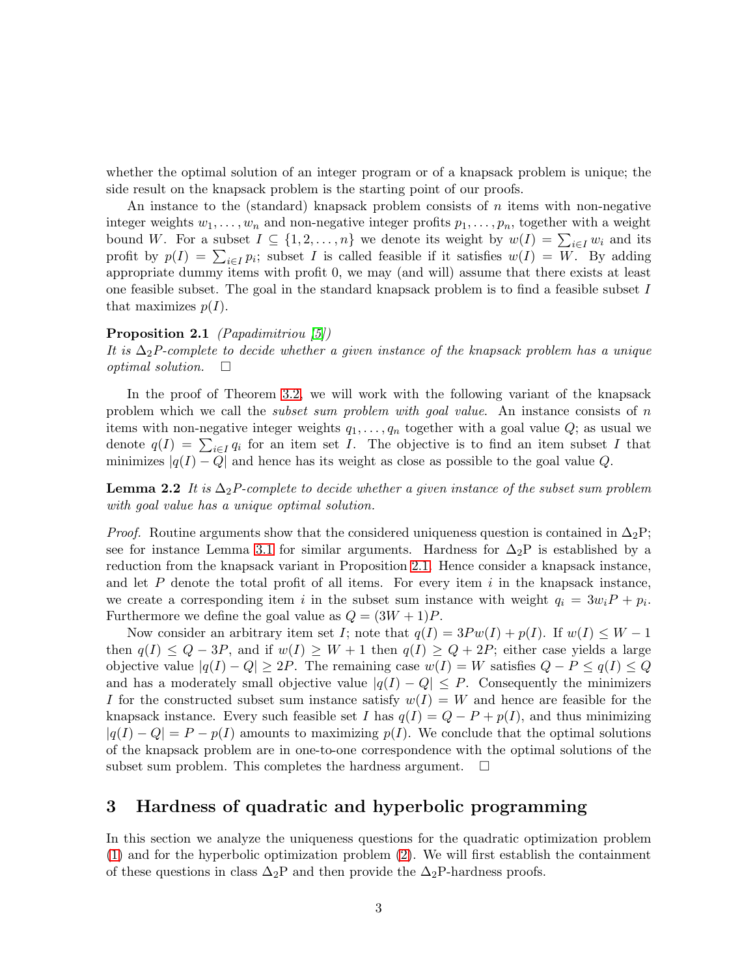whether the optimal solution of an integer program or of a knapsack problem is unique; the side result on the knapsack problem is the starting point of our proofs.

An instance to the (standard) knapsack problem consists of  $n$  items with non-negative integer weights  $w_1, \ldots, w_n$  and non-negative integer profits  $p_1, \ldots, p_n$ , together with a weight bound W. For a subset  $I \subseteq \{1, 2, ..., n\}$  we denote its weight by  $w(I) = \sum_{i \in I} w_i$  and its profit by  $p(I) = \sum_{i \in I} p_i$ ; subset I is called feasible if it satisfies  $w(I) = W$ . By adding appropriate dummy items with profit 0, we may (and will) assume that there exists at least one feasible subset. The goal in the standard knapsack problem is to find a feasible subset I that maximizes  $p(I)$ .

#### <span id="page-3-2"></span>Proposition 2.1 (*Papadimitriou* [\[5\]](#page-6-7))

It is  $\Delta_2$ P-complete to decide whether a given instance of the knapsack problem has a unique optimal solution.  $\Box$ 

In the proof of Theorem [3.2,](#page-4-0) we will work with the following variant of the knapsack problem which we call the *subset sum problem with goal value*. An instance consists of  $n$ items with non-negative integer weights  $q_1, \ldots, q_n$  together with a goal value  $Q$ ; as usual we denote  $q(I) = \sum_{i \in I} q_i$  for an item set I. The objective is to find an item subset I that minimizes  $|q(I) - Q|$  and hence has its weight as close as possible to the goal value Q.

<span id="page-3-3"></span>**Lemma 2.2** It is  $\Delta_2P$ -complete to decide whether a given instance of the subset sum problem with goal value has a unique optimal solution.

*Proof.* Routine arguments show that the considered uniqueness question is contained in  $\Delta_2P$ ; see for instance Lemma [3.1](#page-3-1) for similar arguments. Hardness for  $\Delta_2P$  is established by a reduction from the knapsack variant in Proposition [2.1.](#page-3-2) Hence consider a knapsack instance, and let  $P$  denote the total profit of all items. For every item  $i$  in the knapsack instance, we create a corresponding item i in the subset sum instance with weight  $q_i = 3w_iP + p_i$ . Furthermore we define the goal value as  $Q = (3W + 1)P$ .

Now consider an arbitrary item set I; note that  $q(I) = 3Pw(I) + p(I)$ . If  $w(I) \leq W - 1$ then  $q(I) \leq Q - 3P$ , and if  $w(I) \geq W + 1$  then  $q(I) \geq Q + 2P$ ; either case yields a large objective value  $|q(I) - Q| \ge 2P$ . The remaining case  $w(I) = W$  satisfies  $Q - P \le q(I) \le Q$ and has a moderately small objective value  $|q(I) - Q| \leq P$ . Consequently the minimizers I for the constructed subset sum instance satisfy  $w(I) = W$  and hence are feasible for the knapsack instance. Every such feasible set I has  $q(I) = Q - P + p(I)$ , and thus minimizing  $|q(I) - Q| = P - p(I)$  amounts to maximizing  $p(I)$ . We conclude that the optimal solutions of the knapsack problem are in one-to-one correspondence with the optimal solutions of the subset sum problem. This completes the hardness argument.  $\square$ 

# <span id="page-3-0"></span>3 Hardness of quadratic and hyperbolic programming

<span id="page-3-1"></span>In this section we analyze the uniqueness questions for the quadratic optimization problem [\(1\)](#page-1-0) and for the hyperbolic optimization problem [\(2\)](#page-1-1). We will first establish the containment of these questions in class  $\Delta_2P$  and then provide the  $\Delta_2P$ -hardness proofs.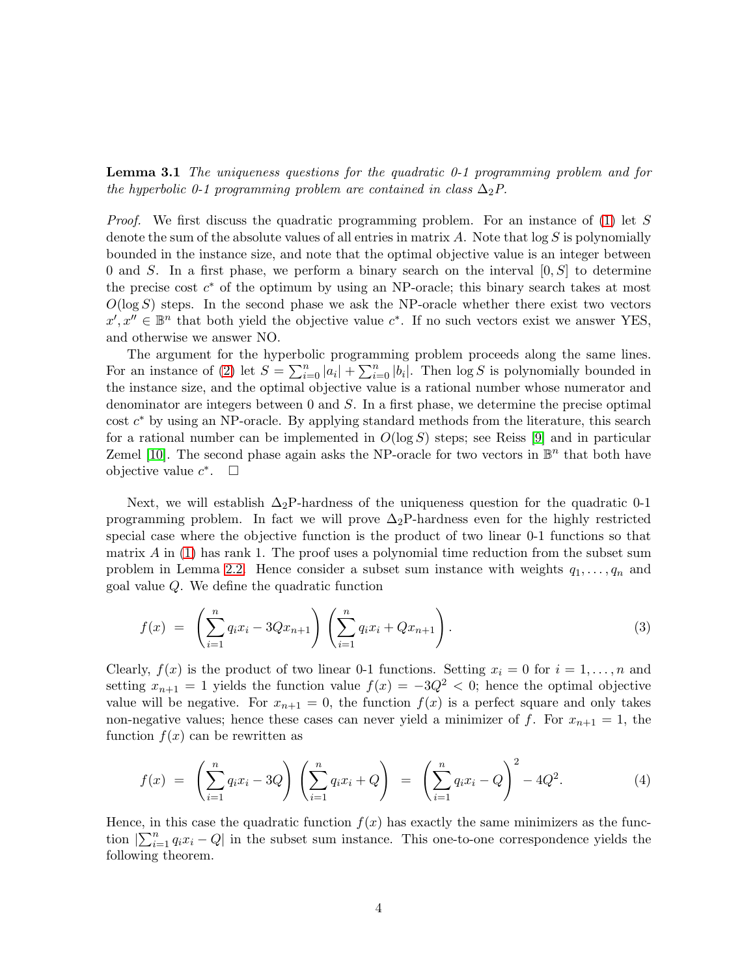**Lemma 3.1** The uniqueness questions for the quadratic  $0$ -1 programming problem and for the hyperbolic 0-1 programming problem are contained in class  $\Delta_2 P$ .

*Proof.* We first discuss the quadratic programming problem. For an instance of  $(1)$  let S denote the sum of the absolute values of all entries in matrix  $A$ . Note that  $\log S$  is polynomially bounded in the instance size, and note that the optimal objective value is an integer between 0 and S. In a first phase, we perform a binary search on the interval  $[0, S]$  to determine the precise cost  $c^*$  of the optimum by using an NP-oracle; this binary search takes at most  $O(\log S)$  steps. In the second phase we ask the NP-oracle whether there exist two vectors  $x', x'' \in \mathbb{B}^n$  that both yield the objective value  $c^*$ . If no such vectors exist we answer YES, and otherwise we answer NO.

The argument for the hyperbolic programming problem proceeds along the same lines. For an instance of [\(2\)](#page-1-1) let  $S = \sum_{i=0}^{n} |a_i| + \sum_{i=0}^{n} |b_i|$ . Then  $\log S$  is polynomially bounded in the instance size, and the optimal objective value is a rational number whose numerator and denominator are integers between 0 and S. In a first phase, we determine the precise optimal cost  $c^*$  by using an NP-oracle. By applying standard methods from the literature, this search for a rational number can be implemented in  $O(\log S)$  steps; see Reiss [\[9\]](#page-6-8) and in particular Zemel [\[10\]](#page-6-9). The second phase again asks the NP-oracle for two vectors in  $\mathbb{B}^n$  that both have objective value  $c^*$ .  $\square$ 

Next, we will establish  $\Delta_2$ P-hardness of the uniqueness question for the quadratic 0-1 programming problem. In fact we will prove  $\Delta_2$ P-hardness even for the highly restricted special case where the objective function is the product of two linear 0-1 functions so that matrix  $\hat{A}$  in [\(1\)](#page-1-0) has rank 1. The proof uses a polynomial time reduction from the subset sum problem in Lemma [2.2.](#page-3-3) Hence consider a subset sum instance with weights  $q_1, \ldots, q_n$  and goal value Q. We define the quadratic function

$$
f(x) = \left(\sum_{i=1}^{n} q_i x_i - 3Qx_{n+1}\right) \left(\sum_{i=1}^{n} q_i x_i + Qx_{n+1}\right).
$$
 (3)

Clearly,  $f(x)$  is the product of two linear 0-1 functions. Setting  $x_i = 0$  for  $i = 1, ..., n$  and setting  $x_{n+1} = 1$  yields the function value  $f(x) = -3Q^2 < 0$ ; hence the optimal objective value will be negative. For  $x_{n+1} = 0$ , the function  $f(x)$  is a perfect square and only takes non-negative values; hence these cases can never yield a minimizer of f. For  $x_{n+1} = 1$ , the function  $f(x)$  can be rewritten as

$$
f(x) = \left(\sum_{i=1}^{n} q_i x_i - 3Q\right) \left(\sum_{i=1}^{n} q_i x_i + Q\right) = \left(\sum_{i=1}^{n} q_i x_i - Q\right)^2 - 4Q^2.
$$
 (4)

<span id="page-4-0"></span>Hence, in this case the quadratic function  $f(x)$  has exactly the same minimizers as the function  $|\sum_{i=1}^n q_i x_i - Q|$  in the subset sum instance. This one-to-one correspondence yields the following theorem.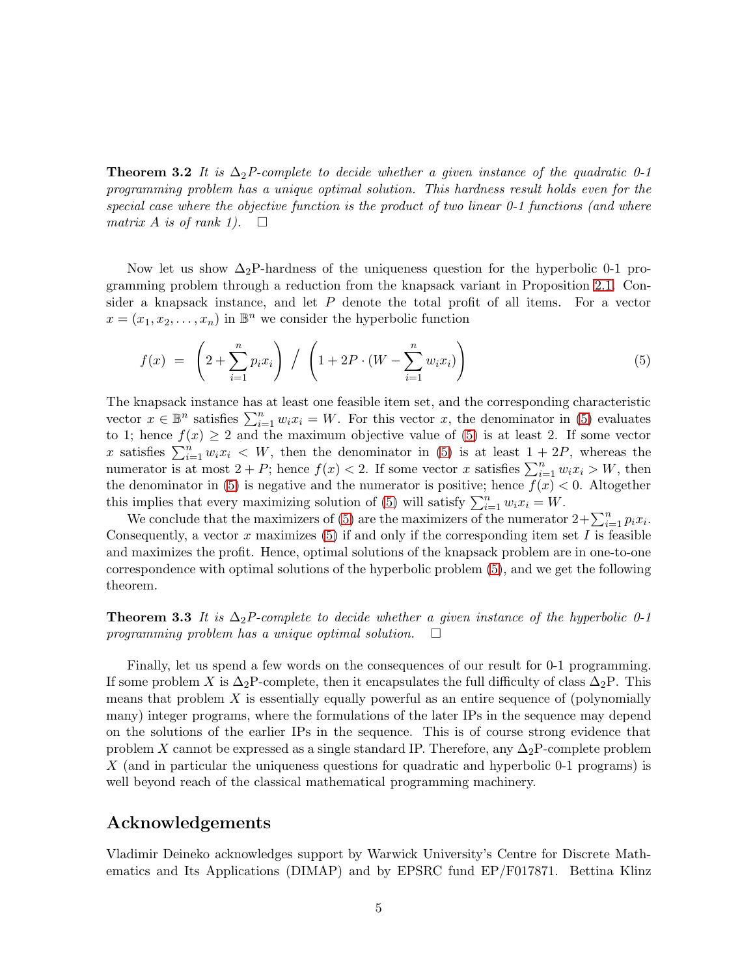**Theorem 3.2** It is  $\Delta_2P$ -complete to decide whether a given instance of the quadratic 0-1 programming problem has a unique optimal solution. This hardness result holds even for the special case where the objective function is the product of two linear  $0-1$  functions (and where matrix A is of rank 1).  $\square$ 

Now let us show  $\Delta_2$ P-hardness of the uniqueness question for the hyperbolic 0-1 programming problem through a reduction from the knapsack variant in Proposition [2.1.](#page-3-2) Consider a knapsack instance, and let P denote the total profit of all items. For a vector  $x = (x_1, x_2, \ldots, x_n)$  in  $\mathbb{B}^n$  we consider the hyperbolic function

<span id="page-5-0"></span>
$$
f(x) = \left(2 + \sum_{i=1}^{n} p_i x_i\right) / \left(1 + 2P \cdot (W - \sum_{i=1}^{n} w_i x_i)\right)
$$
 (5)

The knapsack instance has at least one feasible item set, and the corresponding characteristic vector  $x \in \mathbb{B}^n$  satisfies  $\sum_{i=1}^n w_i x_i = W$ . For this vector x, the denominator in [\(5\)](#page-5-0) evaluates to 1; hence  $f(x) \geq 2$  and the maximum objective value of [\(5\)](#page-5-0) is at least 2. If some vector x satisfies  $\sum_{i=1}^{n} w_i x_i$  < W, then the denominator in [\(5\)](#page-5-0) is at least  $1 + 2P$ , whereas the numerator is at most  $2 + P$ ; hence  $f(x) < 2$ . If some vector x satisfies  $\sum_{i=1}^{n} w_i x_i > W$ , then the denominator in [\(5\)](#page-5-0) is negative and the numerator is positive; hence  $f(x) < 0$ . Altogether this implies that every maximizing solution of [\(5\)](#page-5-0) will satisfy  $\sum_{i=1}^{n} w_i x_i = W$ .

We conclude that the maximizers of [\(5\)](#page-5-0) are the maximizers of the numerator  $2+\sum_{i=1}^n p_ix_i$ . Consequently, a vector x maximizes [\(5\)](#page-5-0) if and only if the corresponding item set I is feasible and maximizes the profit. Hence, optimal solutions of the knapsack problem are in one-to-one correspondence with optimal solutions of the hyperbolic problem [\(5\)](#page-5-0), and we get the following theorem.

**Theorem 3.3** It is  $\Delta_2P$ -complete to decide whether a given instance of the hyperbolic 0-1 programming problem has a unique optimal solution.  $\Box$ 

Finally, let us spend a few words on the consequences of our result for 0-1 programming. If some problem X is  $\Delta_2P$ -complete, then it encapsulates the full difficulty of class  $\Delta_2P$ . This means that problem  $X$  is essentially equally powerful as an entire sequence of (polynomially many) integer programs, where the formulations of the later IPs in the sequence may depend on the solutions of the earlier IPs in the sequence. This is of course strong evidence that problem X cannot be expressed as a single standard IP. Therefore, any  $\Delta_2P$ -complete problem X (and in particular the uniqueness questions for quadratic and hyperbolic 0-1 programs) is well beyond reach of the classical mathematical programming machinery.

# Acknowledgements

Vladimir Deineko acknowledges support by Warwick University's Centre for Discrete Mathematics and Its Applications (DIMAP) and by EPSRC fund EP/F017871. Bettina Klinz